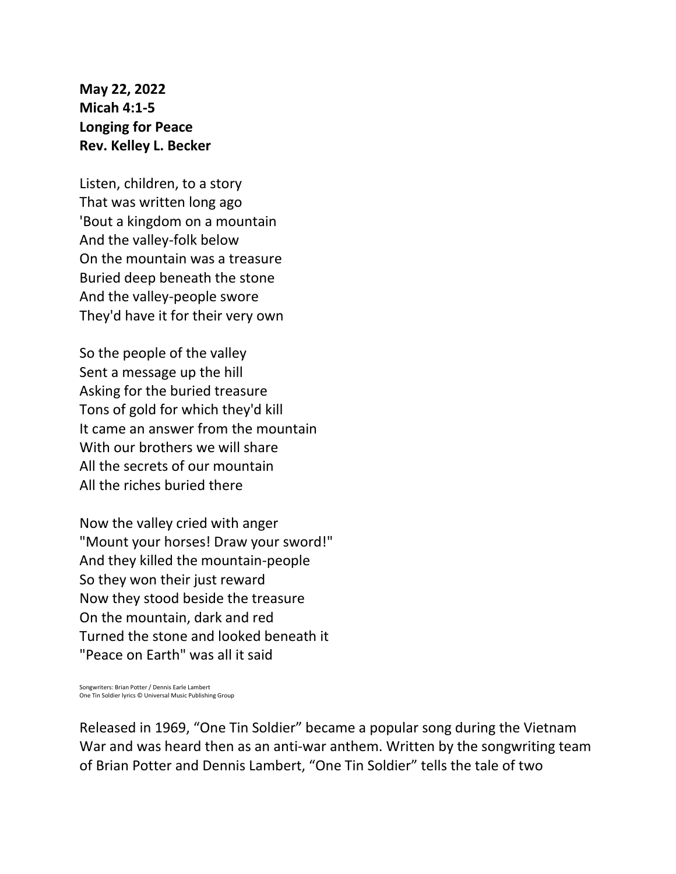**May 22, 2022 Micah 4:1-5 Longing for Peace Rev. Kelley L. Becker**

Listen, children, to a story That was written long ago 'Bout a kingdom on a mountain And the valley-folk below On the mountain was a treasure Buried deep beneath the stone And the valley-people swore They'd have it for their very own

So the people of the valley Sent a message up the hill Asking for the buried treasure Tons of gold for which they'd kill It came an answer from the mountain With our brothers we will share All the secrets of our mountain All the riches buried there

Now the valley cried with anger "Mount your horses! Draw your sword!" And they killed the mountain-people So they won their just reward Now they stood beside the treasure On the mountain, dark and red Turned the stone and looked beneath it "Peace on Earth" was all it said

Songwriters: Brian Potter / Dennis Earle Lambert One Tin Soldier lyrics © Universal Music Publishing Group

Released in 1969, "One Tin Soldier" became a popular song during the Vietnam War and was heard then as an anti-war anthem. Written by the songwriting team of Brian Potter and Dennis Lambert, "One Tin Soldier" tells the tale of two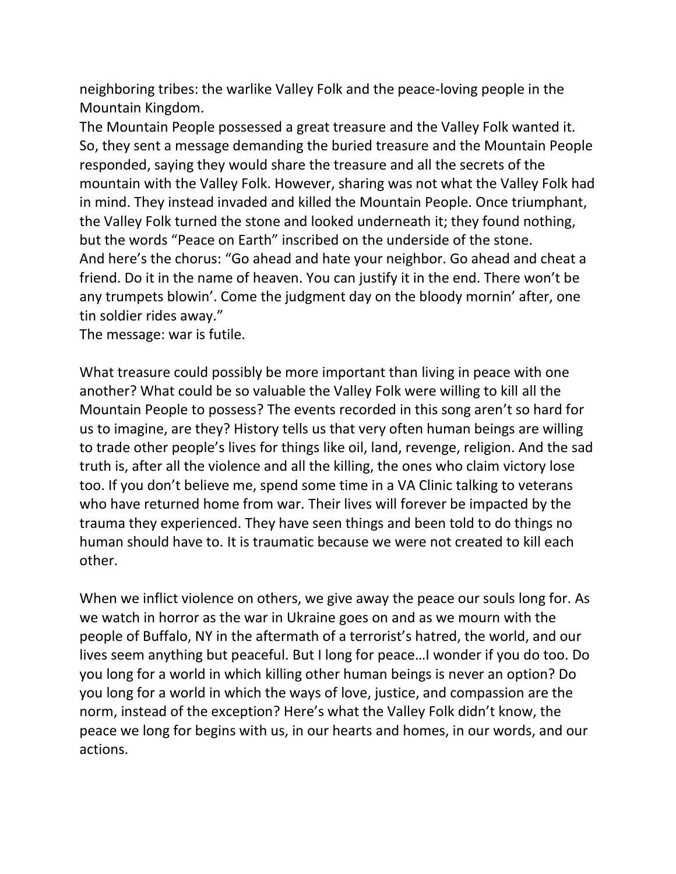neighboring tribes: the warlike Valley Folk and the peace-loving people in the Mountain Kingdom.

The Mountain People possessed a great treasure and the Valley Folk wanted it. So, they sent a message demanding the buried treasure and the Mountain People responded, saying they would share the treasure and all the secrets of the mountain with the Valley Folk. However, sharing was not what the Valley Folk had in mind. They instead invaded and killed the Mountain People. Once triumphant, the Valley Folk turned the stone and looked underneath it; they found nothing, but the words "Peace on Earth" inscribed on the underside of the stone. And here's the chorus: "Go ahead and hate your neighbor. Go ahead and cheat a friend. Do it in the name of heaven. You can justify it in the end. There won't be any trumpets blowin'. Come the judgment day on the bloody mornin' after, one tin soldier rides away."

The message: war is futile.

What treasure could possibly be more important than living in peace with one another? What could be so valuable the Valley Folk were willing to kill all the Mountain People to possess? The events recorded in this song aren't so hard for us to imagine, are they? History tells us that very often human beings are willing to trade other people's lives for things like oil, land, revenge, religion. And the sad truth is, after all the violence and all the killing, the ones who claim victory lose too. If you don't believe me, spend some time in a VA Clinic talking to veterans who have returned home from war. Their lives will forever be impacted by the trauma they experienced. They have seen things and been told to do things no human should have to. It is traumatic because we were not created to kill each other.

When we inflict violence on others, we give away the peace our souls long for. As we watch in horror as the war in Ukraine goes on and as we mourn with the people of Buffalo, NY in the aftermath of a terrorist's hatred, the world, and our lives seem anything but peaceful. But I long for peace…I wonder if you do too. Do you long for a world in which killing other human beings is never an option? Do you long for a world in which the ways of love, justice, and compassion are the norm, instead of the exception? Here's what the Valley Folk didn't know, the peace we long for begins with us, in our hearts and homes, in our words, and our actions.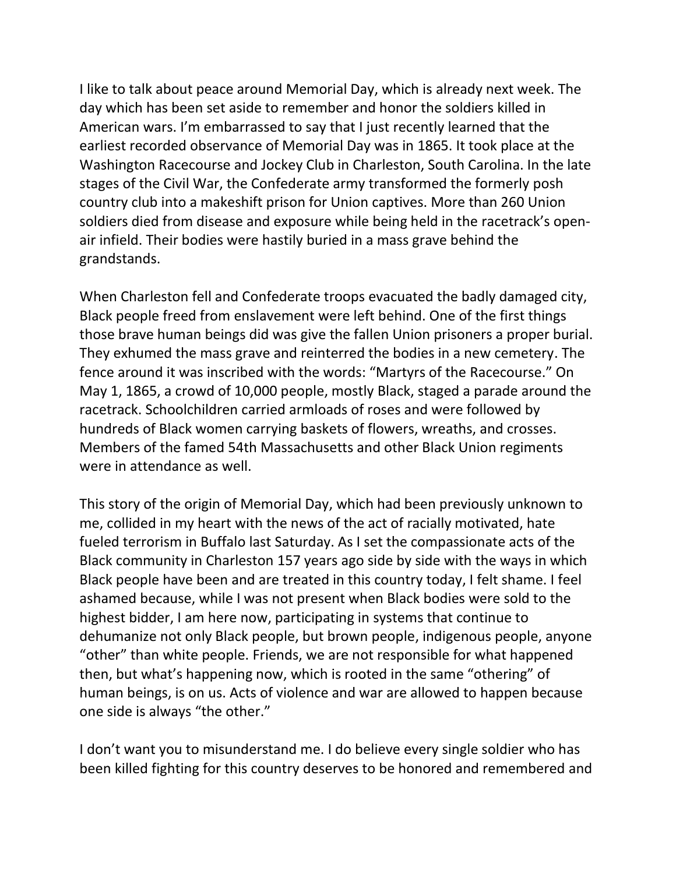I like to talk about peace around Memorial Day, which is already next week. The day which has been set aside to remember and honor the soldiers killed in American wars. I'm embarrassed to say that I just recently learned that the earliest recorded observance of Memorial Day was in 1865. It took place at the Washington Racecourse and Jockey Club in Charleston, South Carolina. In the late stages of the Civil War, the Confederate army transformed the formerly posh country club into a makeshift prison for Union captives. More than 260 Union soldiers died from disease and exposure while being held in the racetrack's openair infield. Their bodies were hastily buried in a mass grave behind the grandstands.

When Charleston fell and Confederate troops evacuated the badly damaged city, Black people freed from enslavement were left behind. One of the first things those brave human beings did was give the fallen Union prisoners a proper burial. They exhumed the mass grave and reinterred the bodies in a new cemetery. The fence around it was inscribed with the words: "Martyrs of the Racecourse." On May 1, 1865, a crowd of 10,000 people, mostly Black, staged a parade around the racetrack. Schoolchildren carried armloads of roses and were followed by hundreds of Black women carrying baskets of flowers, wreaths, and crosses. Members of the famed 54th Massachusetts and other Black Union regiments were in attendance as well.

This story of the origin of Memorial Day, which had been previously unknown to me, collided in my heart with the news of the act of racially motivated, hate fueled terrorism in Buffalo last Saturday. As I set the compassionate acts of the Black community in Charleston 157 years ago side by side with the ways in which Black people have been and are treated in this country today, I felt shame. I feel ashamed because, while I was not present when Black bodies were sold to the highest bidder, I am here now, participating in systems that continue to dehumanize not only Black people, but brown people, indigenous people, anyone "other" than white people. Friends, we are not responsible for what happened then, but what's happening now, which is rooted in the same "othering" of human beings, is on us. Acts of violence and war are allowed to happen because one side is always "the other."

I don't want you to misunderstand me. I do believe every single soldier who has been killed fighting for this country deserves to be honored and remembered and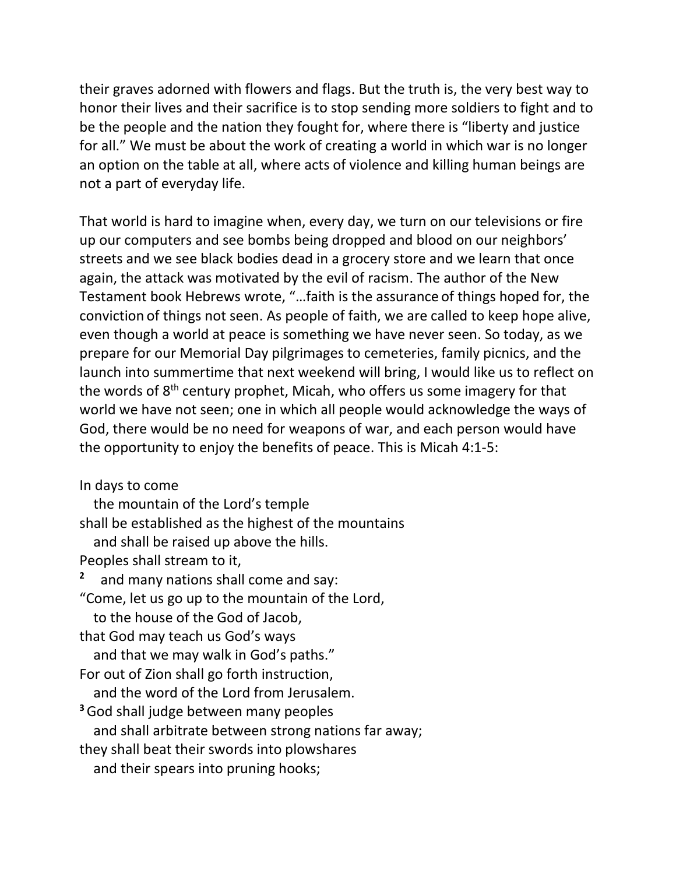their graves adorned with flowers and flags. But the truth is, the very best way to honor their lives and their sacrifice is to stop sending more soldiers to fight and to be the people and the nation they fought for, where there is "liberty and justice for all." We must be about the work of creating a world in which war is no longer an option on the table at all, where acts of violence and killing human beings are not a part of everyday life.

That world is hard to imagine when, every day, we turn on our televisions or fire up our computers and see bombs being dropped and blood on our neighbors' streets and we see black bodies dead in a grocery store and we learn that once again, the attack was motivated by the evil of racism. The author of the New Testament book Hebrews wrote, "…faith is the assurance of things hoped for, the conviction of things not seen. As people of faith, we are called to keep hope alive, even though a world at peace is something we have never seen. So today, as we prepare for our Memorial Day pilgrimages to cemeteries, family picnics, and the launch into summertime that next weekend will bring, I would like us to reflect on the words of 8<sup>th</sup> century prophet, Micah, who offers us some imagery for that world we have not seen; one in which all people would acknowledge the ways of God, there would be no need for weapons of war, and each person would have the opportunity to enjoy the benefits of peace. This is Micah 4:1-5:

In days to come

 the mountain of the Lord's temple shall be established as the highest of the mountains and shall be raised up above the hills. Peoples shall stream to it,

**2** and many nations shall come and say:

"Come, let us go up to the mountain of the Lord,

to the house of the God of Jacob,

that God may teach us God's ways

and that we may walk in God's paths."

For out of Zion shall go forth instruction,

and the word of the Lord from Jerusalem.

**<sup>3</sup>**God shall judge between many peoples

and shall arbitrate between strong nations far away;

they shall beat their swords into plowshares

and their spears into pruning hooks;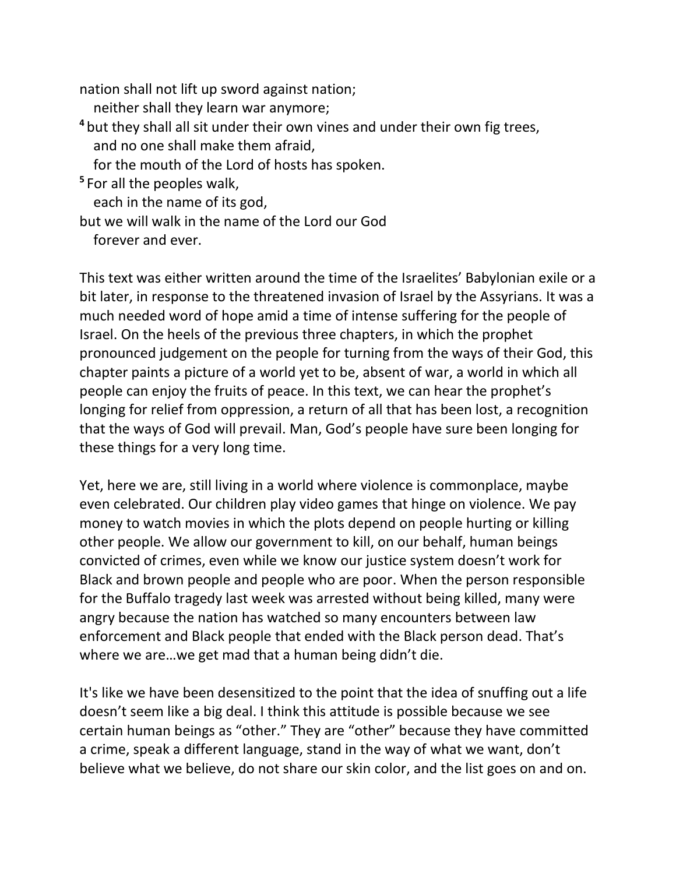nation shall not lift up sword against nation; neither shall they learn war anymore; **<sup>4</sup>** but they shall all sit under their own vines and under their own fig trees, and no one shall make them afraid, for the mouth of the Lord of hosts has spoken. **5** For all the peoples walk, each in the name of its god, but we will walk in the name of the Lord our God forever and ever.

This text was either written around the time of the Israelites' Babylonian exile or a bit later, in response to the threatened invasion of Israel by the Assyrians. It was a much needed word of hope amid a time of intense suffering for the people of Israel. On the heels of the previous three chapters, in which the prophet pronounced judgement on the people for turning from the ways of their God, this chapter paints a picture of a world yet to be, absent of war, a world in which all people can enjoy the fruits of peace. In this text, we can hear the prophet's longing for relief from oppression, a return of all that has been lost, a recognition that the ways of God will prevail. Man, God's people have sure been longing for these things for a very long time.

Yet, here we are, still living in a world where violence is commonplace, maybe even celebrated. Our children play video games that hinge on violence. We pay money to watch movies in which the plots depend on people hurting or killing other people. We allow our government to kill, on our behalf, human beings convicted of crimes, even while we know our justice system doesn't work for Black and brown people and people who are poor. When the person responsible for the Buffalo tragedy last week was arrested without being killed, many were angry because the nation has watched so many encounters between law enforcement and Black people that ended with the Black person dead. That's where we are…we get mad that a human being didn't die.

It's like we have been desensitized to the point that the idea of snuffing out a life doesn't seem like a big deal. I think this attitude is possible because we see certain human beings as "other." They are "other" because they have committed a crime, speak a different language, stand in the way of what we want, don't believe what we believe, do not share our skin color, and the list goes on and on.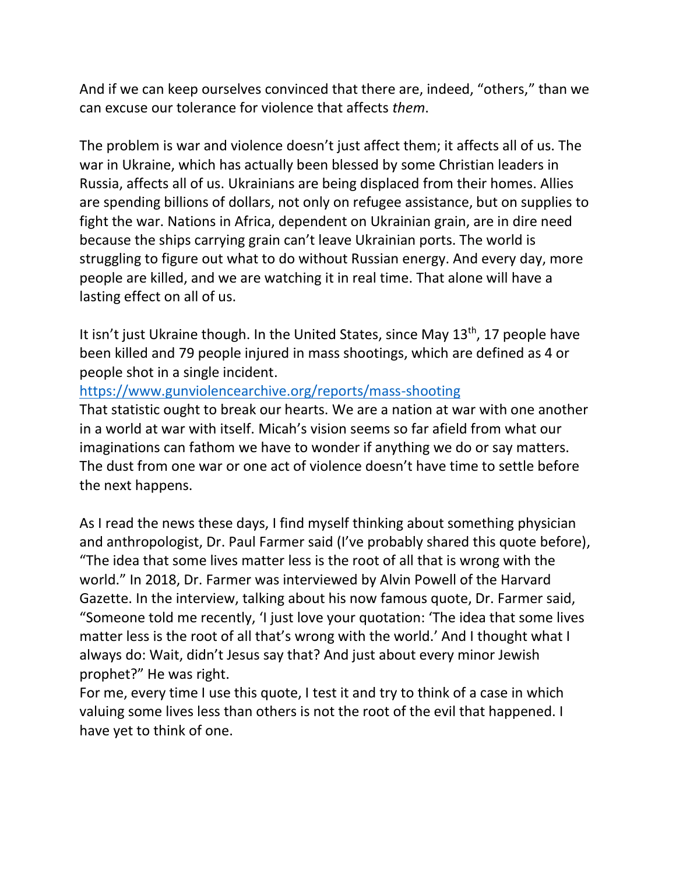And if we can keep ourselves convinced that there are, indeed, "others," than we can excuse our tolerance for violence that affects *them*.

The problem is war and violence doesn't just affect them; it affects all of us. The war in Ukraine, which has actually been blessed by some Christian leaders in Russia, affects all of us. Ukrainians are being displaced from their homes. Allies are spending billions of dollars, not only on refugee assistance, but on supplies to fight the war. Nations in Africa, dependent on Ukrainian grain, are in dire need because the ships carrying grain can't leave Ukrainian ports. The world is struggling to figure out what to do without Russian energy. And every day, more people are killed, and we are watching it in real time. That alone will have a lasting effect on all of us.

It isn't just Ukraine though. In the United States, since May 13<sup>th</sup>, 17 people have been killed and 79 people injured in mass shootings, which are defined as 4 or people shot in a single incident.

## <https://www.gunviolencearchive.org/reports/mass-shooting>

That statistic ought to break our hearts. We are a nation at war with one another in a world at war with itself. Micah's vision seems so far afield from what our imaginations can fathom we have to wonder if anything we do or say matters. The dust from one war or one act of violence doesn't have time to settle before the next happens.

As I read the news these days, I find myself thinking about something physician and anthropologist, Dr. Paul Farmer said (I've probably shared this quote before), "The idea that some lives matter less is the root of all that is wrong with the world." In 2018, Dr. Farmer was interviewed by Alvin Powell of the Harvard Gazette. In the interview, talking about his now famous quote, Dr. Farmer said, "Someone told me recently, 'I just love your quotation: 'The idea that some lives matter less is the root of all that's wrong with the world.' And I thought what I always do: Wait, didn't Jesus say that? And just about every minor Jewish prophet?" He was right.

For me, every time I use this quote, I test it and try to think of a case in which valuing some lives less than others is not the root of the evil that happened. I have yet to think of one.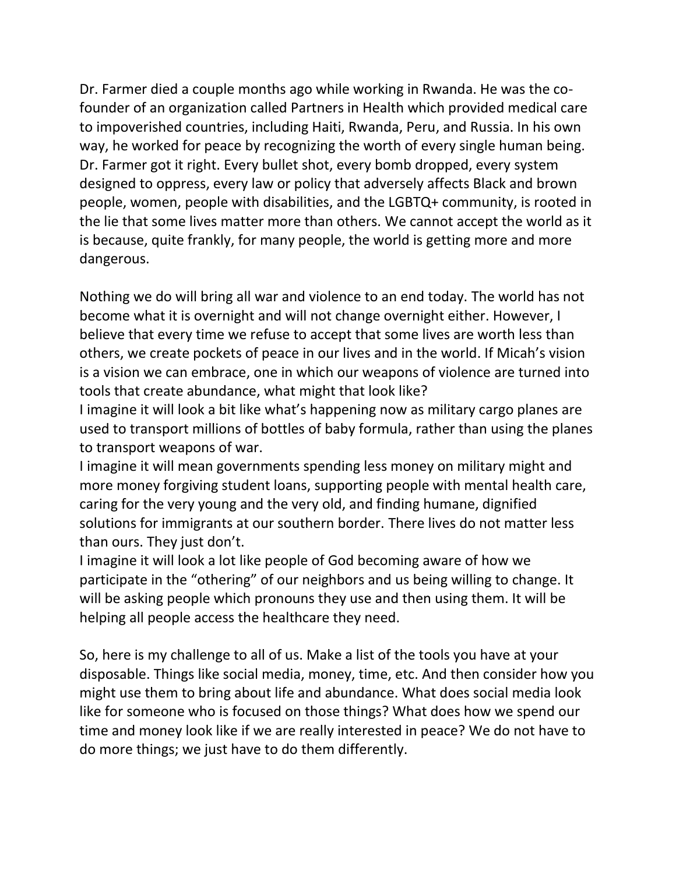Dr. Farmer died a couple months ago while working in Rwanda. He was the cofounder of an organization called Partners in Health which provided medical care to impoverished countries, including Haiti, Rwanda, Peru, and Russia. In his own way, he worked for peace by recognizing the worth of every single human being. Dr. Farmer got it right. Every bullet shot, every bomb dropped, every system designed to oppress, every law or policy that adversely affects Black and brown people, women, people with disabilities, and the LGBTQ+ community, is rooted in the lie that some lives matter more than others. We cannot accept the world as it is because, quite frankly, for many people, the world is getting more and more dangerous.

Nothing we do will bring all war and violence to an end today. The world has not become what it is overnight and will not change overnight either. However, I believe that every time we refuse to accept that some lives are worth less than others, we create pockets of peace in our lives and in the world. If Micah's vision is a vision we can embrace, one in which our weapons of violence are turned into tools that create abundance, what might that look like?

I imagine it will look a bit like what's happening now as military cargo planes are used to transport millions of bottles of baby formula, rather than using the planes to transport weapons of war.

I imagine it will mean governments spending less money on military might and more money forgiving student loans, supporting people with mental health care, caring for the very young and the very old, and finding humane, dignified solutions for immigrants at our southern border. There lives do not matter less than ours. They just don't.

I imagine it will look a lot like people of God becoming aware of how we participate in the "othering" of our neighbors and us being willing to change. It will be asking people which pronouns they use and then using them. It will be helping all people access the healthcare they need.

So, here is my challenge to all of us. Make a list of the tools you have at your disposable. Things like social media, money, time, etc. And then consider how you might use them to bring about life and abundance. What does social media look like for someone who is focused on those things? What does how we spend our time and money look like if we are really interested in peace? We do not have to do more things; we just have to do them differently.